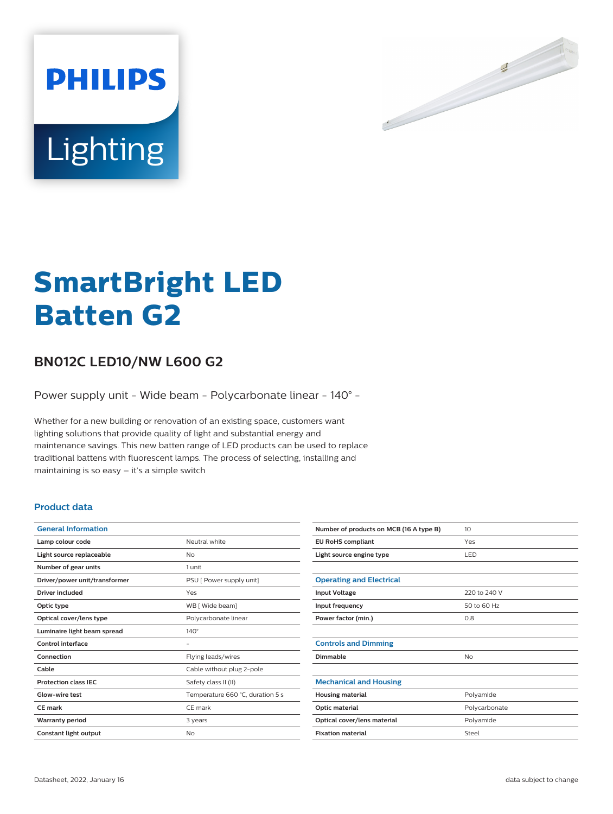

# Lighting

**PHILIPS** 

# **SmartBright LED Batten G2**

# **BN012C LED10/NW L600 G2**

Power supply unit - Wide beam - Polycarbonate linear - 140° -

Whether for a new building or renovation of an existing space, customers want lighting solutions that provide quality of light and substantial energy and maintenance savings. This new batten range of LED products can be used to replace traditional battens with fluorescent lamps. The process of selecting, installing and maintaining is so easy – it's a simple switch

## **Product data**

| <b>General Information</b>    |                                  |
|-------------------------------|----------------------------------|
| Lamp colour code              | Neutral white                    |
| Light source replaceable      | No                               |
| Number of gear units          | 1 unit                           |
| Driver/power unit/transformer | PSU [ Power supply unit]         |
| Driver included               | Yes                              |
| Optic type                    | WB [ Wide beam]                  |
| Optical cover/lens type       | Polycarbonate linear             |
| Luminaire light beam spread   | $140^\circ$                      |
| Control interface             | -                                |
| Connection                    | Flying leads/wires               |
| Cable                         | Cable without plug 2-pole        |
| <b>Protection class IEC</b>   | Safety class II (II)             |
| Glow-wire test                | Temperature 660 °C, duration 5 s |
| <b>CE</b> mark                | CE mark                          |
| <b>Warranty period</b>        | 3 years                          |
| Constant light output         | No                               |

| Number of products on MCB (16 A type B) | 10 <sup>2</sup> |
|-----------------------------------------|-----------------|
| <b>EU RoHS compliant</b>                | Yes             |
| Light source engine type                | LED             |
|                                         |                 |
| <b>Operating and Electrical</b>         |                 |
| <b>Input Voltage</b>                    | 220 to 240 V    |
| Input frequency                         | 50 to 60 Hz     |
| Power factor (min.)                     | 0.8             |
|                                         |                 |
| <b>Controls and Dimming</b>             |                 |
| Dimmable                                | No              |
|                                         |                 |
| <b>Mechanical and Housing</b>           |                 |
| <b>Housing material</b>                 | Polyamide       |
| Optic material                          | Polycarbonate   |
| Optical cover/lens material             | Polyamide       |
| <b>Fixation material</b>                | Steel           |
|                                         |                 |